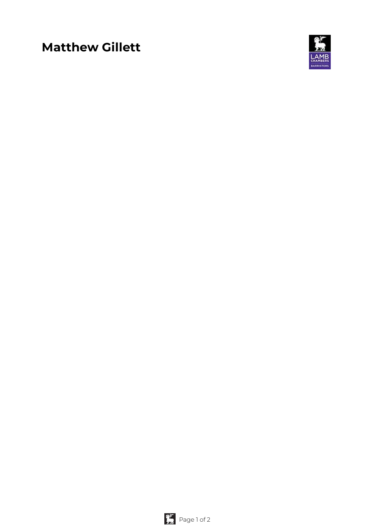# **Matthew Gillett**